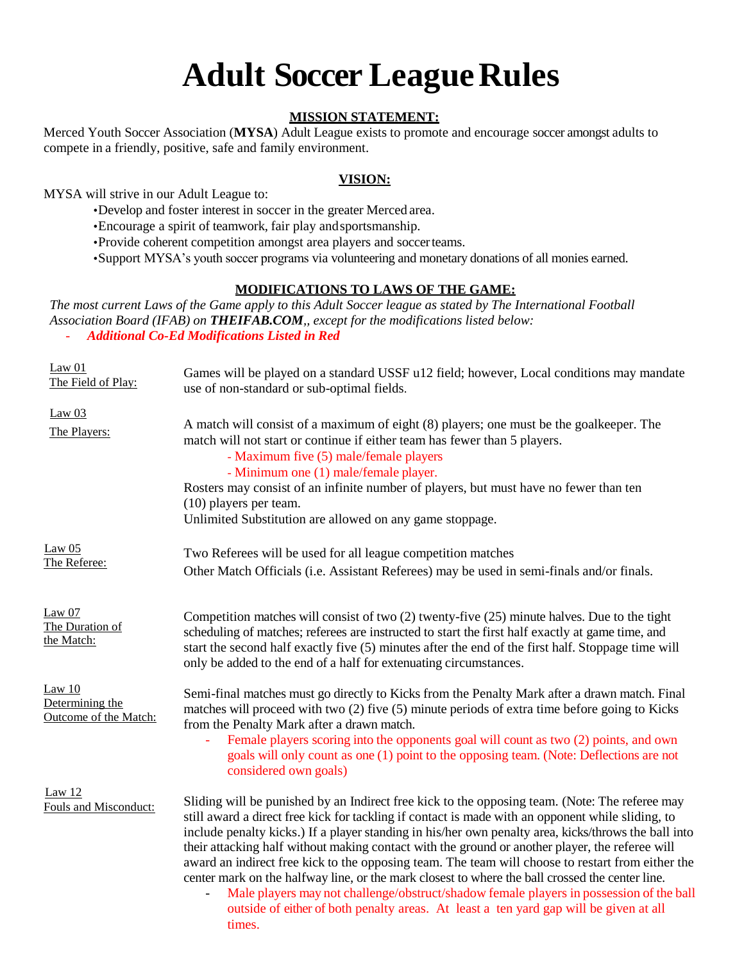# **Adult Soccer League Rules**

#### **MISSION STATEMENT:**

Merced Youth Soccer Association (**MYSA**) Adult League exists to promote and encourage soccer amongst adults to compete in a friendly, positive, safe and family environment.

#### **VISION:**

MYSA will strive in our Adult League to:

- •Develop and foster interest in soccer in the greater Merced area.
- •Encourage a spirit of teamwork, fair play andsportsmanship.

times.

•Provide coherent competition amongst area players and soccerteams.

•Support MYSA's youth soccer programs via volunteering and monetary donations of all monies earned.

#### **MODIFICATIONS TO LAWS OF THE GAME:**

*The most current Laws of the Game apply to this Adult Soccer league as stated by The International Football Association Board (IFAB) on THEIFAB.COM,, except for the modifications listed below:* - *Additional Co-Ed Modifications Listed in Red*

| Law 01<br>The Field of Play:                         | Games will be played on a standard USSF u12 field; however, Local conditions may mandate<br>use of non-standard or sub-optimal fields.                                                                                                                                                                                                                                                                                                                                                                                                                                                                                                                                                                                                                                                                     |
|------------------------------------------------------|------------------------------------------------------------------------------------------------------------------------------------------------------------------------------------------------------------------------------------------------------------------------------------------------------------------------------------------------------------------------------------------------------------------------------------------------------------------------------------------------------------------------------------------------------------------------------------------------------------------------------------------------------------------------------------------------------------------------------------------------------------------------------------------------------------|
| Law 03<br>The Players:                               | A match will consist of a maximum of eight (8) players; one must be the goalkeeper. The<br>match will not start or continue if either team has fewer than 5 players.<br>- Maximum five (5) male/female players<br>- Minimum one (1) male/female player.<br>Rosters may consist of an infinite number of players, but must have no fewer than ten<br>(10) players per team.<br>Unlimited Substitution are allowed on any game stoppage.                                                                                                                                                                                                                                                                                                                                                                     |
| Law 05<br>The Referee:                               | Two Referees will be used for all league competition matches<br>Other Match Officials (i.e. Assistant Referees) may be used in semi-finals and/or finals.                                                                                                                                                                                                                                                                                                                                                                                                                                                                                                                                                                                                                                                  |
| Law 07<br>The Duration of<br>the Match:              | Competition matches will consist of two $(2)$ twenty-five $(25)$ minute halves. Due to the tight<br>scheduling of matches; referees are instructed to start the first half exactly at game time, and<br>start the second half exactly five (5) minutes after the end of the first half. Stoppage time will<br>only be added to the end of a half for extenuating circumstances.                                                                                                                                                                                                                                                                                                                                                                                                                            |
| Law $10$<br>Determining the<br>Outcome of the Match: | Semi-final matches must go directly to Kicks from the Penalty Mark after a drawn match. Final<br>matches will proceed with two (2) five (5) minute periods of extra time before going to Kicks<br>from the Penalty Mark after a drawn match.<br>Female players scoring into the opponents goal will count as two (2) points, and own<br>goals will only count as one (1) point to the opposing team. (Note: Deflections are not<br>considered own goals)                                                                                                                                                                                                                                                                                                                                                   |
| Law 12<br>Fouls and Misconduct:                      | Sliding will be punished by an Indirect free kick to the opposing team. (Note: The referee may<br>still award a direct free kick for tackling if contact is made with an opponent while sliding, to<br>include penalty kicks.) If a player standing in his/her own penalty area, kicks/throws the ball into<br>their attacking half without making contact with the ground or another player, the referee will<br>award an indirect free kick to the opposing team. The team will choose to restart from either the<br>center mark on the halfway line, or the mark closest to where the ball crossed the center line.<br>Male players may not challenge/obstruct/shadow female players in possession of the ball<br>outside of either of both penalty areas. At least a ten yard gap will be given at all |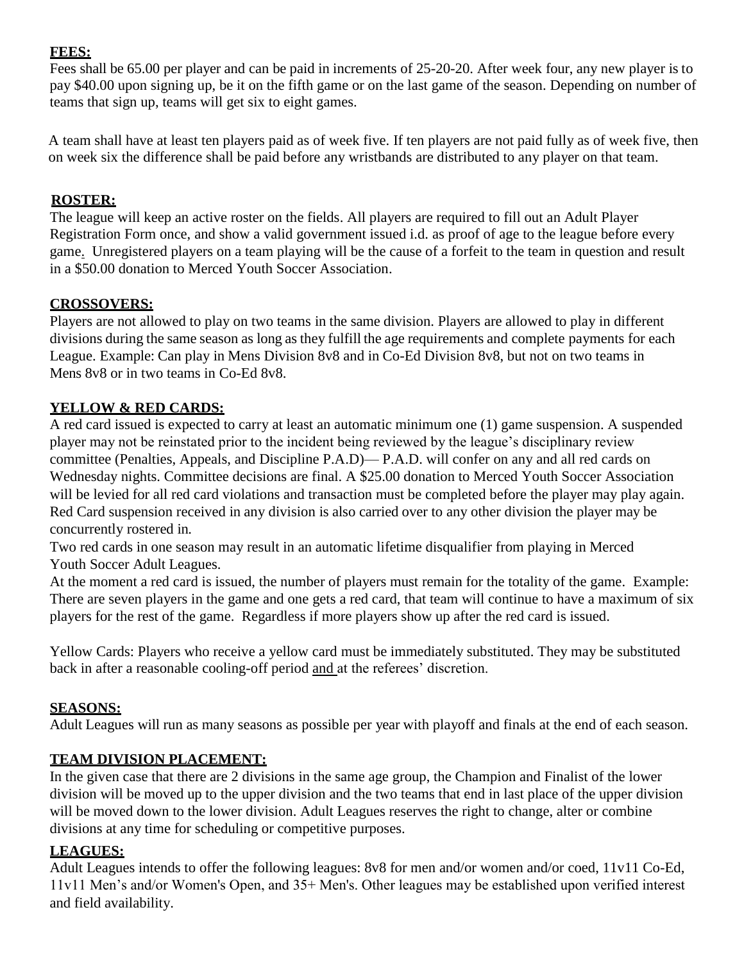## **FEES:**

Fees shall be 65.00 per player and can be paid in increments of 25-20-20. After week four, any new player is to pay \$40.00 upon signing up, be it on the fifth game or on the last game of the season. Depending on number of teams that sign up, teams will get six to eight games.

A team shall have at least ten players paid as of week five. If ten players are not paid fully as of week five, then on week six the difference shall be paid before any wristbands are distributed to any player on that team.

## **ROSTER:**

The league will keep an active roster on the fields. All players are required to fill out an Adult Player Registration Form once, and show a valid government issued i.d. as proof of age to the league before every game. Unregistered players on a team playing will be the cause of a forfeit to the team in question and result in a \$50.00 donation to Merced Youth Soccer Association.

## **CROSSOVERS:**

Players are not allowed to play on two teams in the same division. Players are allowed to play in different divisions during the same season as long as they fulfill the age requirements and complete payments for each League. Example: Can play in Mens Division 8v8 and in Co-Ed Division 8v8, but not on two teams in Mens 8v8 or in two teams in Co-Ed 8v8.

## **YELLOW & RED CARDS:**

A red card issued is expected to carry at least an automatic minimum one (1) game suspension. A suspended player may not be reinstated prior to the incident being reviewed by the league's disciplinary review committee (Penalties, Appeals, and Discipline P.A.D)— P.A.D. will confer on any and all red cards on Wednesday nights. Committee decisions are final. A \$25.00 donation to Merced Youth Soccer Association will be levied for all red card violations and transaction must be completed before the player may play again. Red Card suspension received in any division is also carried over to any other division the player may be concurrently rostered in.

Two red cards in one season may result in an automatic lifetime disqualifier from playing in Merced Youth Soccer Adult Leagues.

At the moment a red card is issued, the number of players must remain for the totality of the game. Example: There are seven players in the game and one gets a red card, that team will continue to have a maximum of six players for the rest of the game. Regardless if more players show up after the red card is issued.

Yellow Cards: Players who receive a yellow card must be immediately substituted. They may be substituted back in after a reasonable cooling-off period and at the referees' discretion.

## **SEASONS:**

Adult Leagues will run as many seasons as possible per year with playoff and finals at the end of each season.

#### **TEAM DIVISION PLACEMENT:**

In the given case that there are 2 divisions in the same age group, the Champion and Finalist of the lower division will be moved up to the upper division and the two teams that end in last place of the upper division will be moved down to the lower division. Adult Leagues reserves the right to change, alter or combine divisions at any time for scheduling or competitive purposes.

#### **LEAGUES:**

Adult Leagues intends to offer the following leagues: 8v8 for men and/or women and/or coed, 11v11 Co-Ed, 11v11 Men's and/or Women's Open, and 35+ Men's. Other leagues may be established upon verified interest and field availability.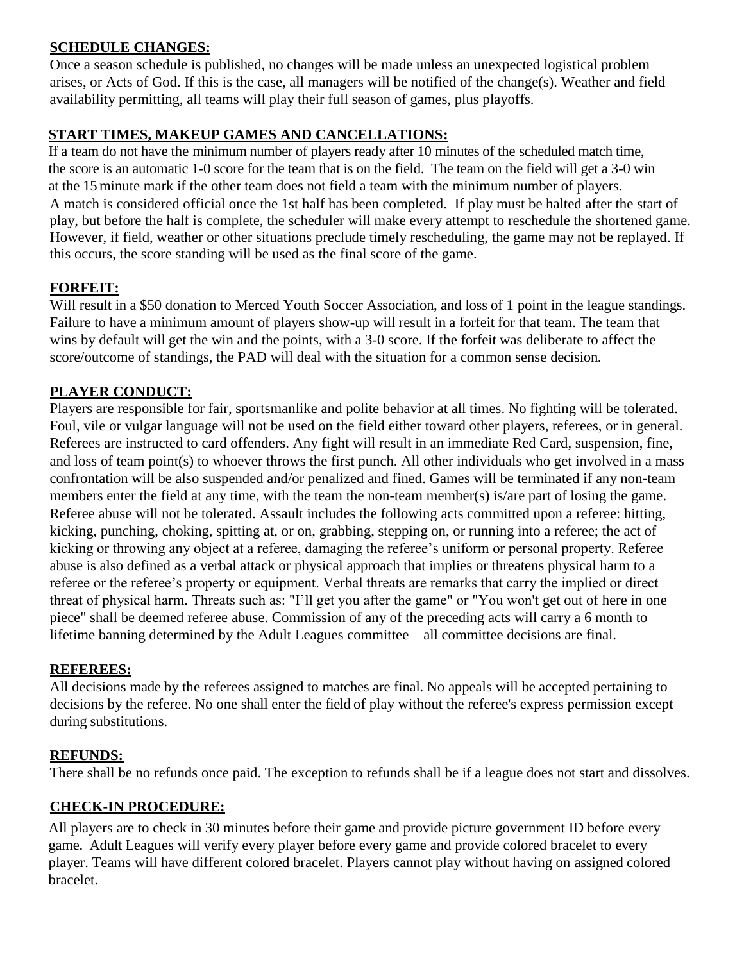### **SCHEDULE CHANGES:**

Once a season schedule is published, no changes will be made unless an unexpected logistical problem arises, or Acts of God. If this is the case, all managers will be notified of the change(s). Weather and field availability permitting, all teams will play their full season of games, plus playoffs.

# **START TIMES, MAKEUP GAMES AND CANCELLATIONS:**

If a team do not have the minimum number of players ready after 10 minutes of the scheduled match time, the score is an automatic 1-0 score for the team that is on the field. The team on the field will get a 3-0 win at the 15minute mark if the other team does not field a team with the minimum number of players. A match is considered official once the 1st half has been completed. If play must be halted after the start of play, but before the half is complete, the scheduler will make every attempt to reschedule the shortened game. However, if field, weather or other situations preclude timely rescheduling, the game may not be replayed. If this occurs, the score standing will be used as the final score of the game.

## **FORFEIT:**

Will result in a \$50 donation to Merced Youth Soccer Association, and loss of 1 point in the league standings. Failure to have a minimum amount of players show-up will result in a forfeit for that team. The team that wins by default will get the win and the points, with a 3-0 score. If the forfeit was deliberate to affect the score/outcome of standings, the PAD will deal with the situation for a common sense decision.

## **PLAYER CONDUCT:**

Players are responsible for fair, sportsmanlike and polite behavior at all times. No fighting will be tolerated. Foul, vile or vulgar language will not be used on the field either toward other players, referees, or in general. Referees are instructed to card offenders. Any fight will result in an immediate Red Card, suspension, fine, and loss of team point(s) to whoever throws the first punch. All other individuals who get involved in a mass confrontation will be also suspended and/or penalized and fined. Games will be terminated if any non-team members enter the field at any time, with the team the non-team member(s) is/are part of losing the game. Referee abuse will not be tolerated. Assault includes the following acts committed upon a referee: hitting, kicking, punching, choking, spitting at, or on, grabbing, stepping on, or running into a referee; the act of kicking or throwing any object at a referee, damaging the referee's uniform or personal property. Referee abuse is also defined as a verbal attack or physical approach that implies or threatens physical harm to a referee or the referee's property or equipment. Verbal threats are remarks that carry the implied or direct threat of physical harm. Threats such as: "I'll get you after the game" or "You won't get out of here in one piece" shall be deemed referee abuse. Commission of any of the preceding acts will carry a 6 month to lifetime banning determined by the Adult Leagues committee—all committee decisions are final.

#### **REFEREES:**

All decisions made by the referees assigned to matches are final. No appeals will be accepted pertaining to decisions by the referee. No one shall enter the field of play without the referee's express permission except during substitutions.

## **REFUNDS:**

There shall be no refunds once paid. The exception to refunds shall be if a league does not start and dissolves.

# **CHECK-IN PROCEDURE:**

All players are to check in 30 minutes before their game and provide picture government ID before every game. Adult Leagues will verify every player before every game and provide colored bracelet to every player. Teams will have different colored bracelet. Players cannot play without having on assigned colored bracelet.